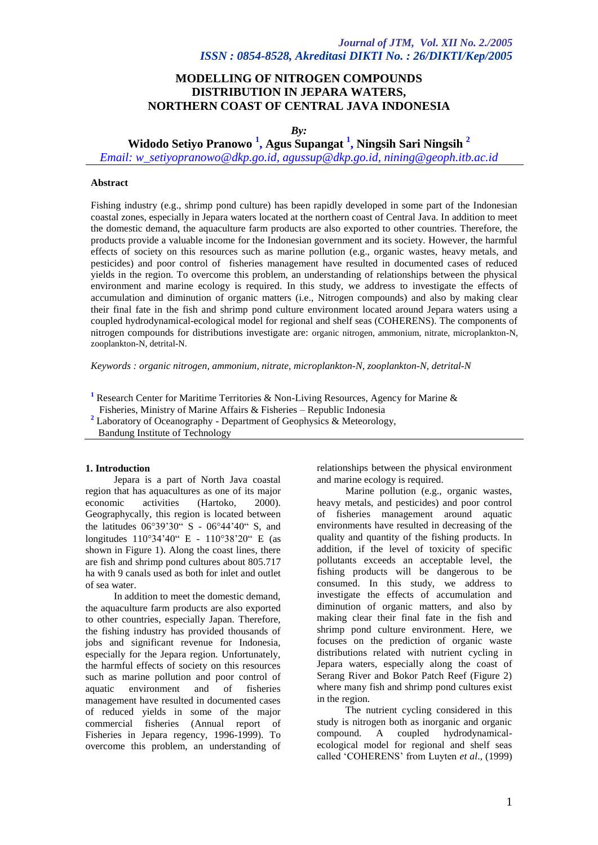# **MODELLING OF NITROGEN COMPOUNDS DISTRIBUTION IN JEPARA WATERS, NORTHERN COAST OF CENTRAL JAVA INDONESIA**

*By:*

**Widodo Setiyo Pranowo <sup>1</sup> , Agus Supangat <sup>1</sup> , Ningsih Sari Ningsih <sup>2</sup>**

*Email: w\_setiyopranowo@dkp.go.id, agussup@dkp.go.id, nining@geoph.itb.ac.id*

### **Abstract**

Fishing industry (e.g., shrimp pond culture) has been rapidly developed in some part of the Indonesian coastal zones, especially in Jepara waters located at the northern coast of Central Java. In addition to meet the domestic demand, the aquaculture farm products are also exported to other countries. Therefore, the products provide a valuable income for the Indonesian government and its society. However, the harmful effects of society on this resources such as marine pollution (e.g., organic wastes, heavy metals, and pesticides) and poor control of fisheries management have resulted in documented cases of reduced yields in the region. To overcome this problem, an understanding of relationships between the physical environment and marine ecology is required. In this study, we address to investigate the effects of accumulation and diminution of organic matters (i.e., Nitrogen compounds) and also by making clear their final fate in the fish and shrimp pond culture environment located around Jepara waters using a coupled hydrodynamical-ecological model for regional and shelf seas (COHERENS). The components of nitrogen compounds for distributions investigate are: organic nitrogen, ammonium, nitrate, microplankton-N, zooplankton-N, detrital-N.

*Keywords : organic nitrogen, ammonium, nitrate, microplankton-N, zooplankton-N, detrital-N*

- **<sup>1</sup>** Research Center for Maritime Territories & Non-Living Resources, Agency for Marine &
- Fisheries, Ministry of Marine Affairs & Fisheries Republic Indonesia
- **<sup>2</sup>** Laboratory of Oceanography Department of Geophysics & Meteorology,
- Bandung Institute of Technology

### **1. Introduction**

Jepara is a part of North Java coastal region that has aquacultures as one of its major<br>economic activities (Hartoko, 2000). (Hartoko, Geographycally, this region is located between the latitudes  $06^{\circ}39'30''$  S -  $06^{\circ}44'40''$  S, and longitudes 110°34'40" E - 110°38'20" E (as shown in Figure 1). Along the coast lines, there are fish and shrimp pond cultures about 805.717 ha with 9 canals used as both for inlet and outlet of sea water.

In addition to meet the domestic demand, the aquaculture farm products are also exported to other countries, especially Japan. Therefore, the fishing industry has provided thousands of jobs and significant revenue for Indonesia, especially for the Jepara region. Unfortunately, the harmful effects of society on this resources such as marine pollution and poor control of aquatic environment and of fisheries management have resulted in documented cases of reduced yields in some of the major commercial fisheries (Annual report of Fisheries in Jepara regency, 1996-1999). To overcome this problem, an understanding of relationships between the physical environment and marine ecology is required.

Marine pollution (e.g., organic wastes, heavy metals, and pesticides) and poor control of fisheries management around aquatic environments have resulted in decreasing of the quality and quantity of the fishing products. In addition, if the level of toxicity of specific pollutants exceeds an acceptable level, the fishing products will be dangerous to be consumed. In this study, we address to investigate the effects of accumulation and diminution of organic matters, and also by making clear their final fate in the fish and shrimp pond culture environment. Here, we focuses on the prediction of organic waste distributions related with nutrient cycling in Jepara waters, especially along the coast of Serang River and Bokor Patch Reef (Figure 2) where many fish and shrimp pond cultures exist in the region.

The nutrient cycling considered in this study is nitrogen both as inorganic and organic<br>compound. A coupled hydrodynamicalcompound. A coupled ecological model for regional and shelf seas called 'COHERENS' from Luyten *et al*., (1999)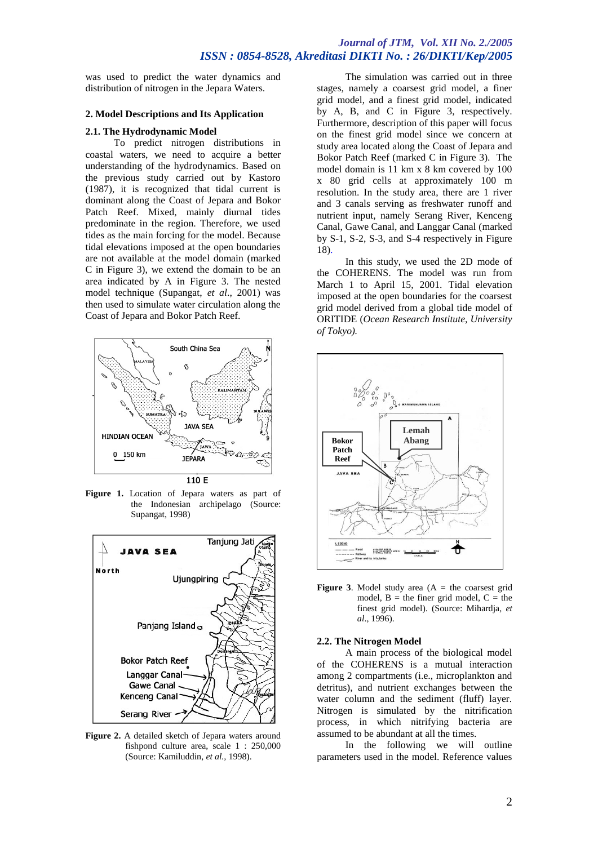# *Journal of JTM, Vol. XII No. 2./2005 ISSN : 0854-8528, Akreditasi DIKTI No. : 26/DIKTI/Kep/2005*

was used to predict the water dynamics and distribution of nitrogen in the Jepara Waters.

### **2. Model Descriptions and Its Application**

#### **2.1. The Hydrodynamic Model**

To predict nitrogen distributions in coastal waters, we need to acquire a better understanding of the hydrodynamics. Based on the previous study carried out by Kastoro (1987), it is recognized that tidal current is dominant along the Coast of Jepara and Bokor Patch Reef. Mixed, mainly diurnal tides predominate in the region. Therefore, we used tides as the main forcing for the model. Because tidal elevations imposed at the open boundaries are not available at the model domain (marked C in Figure 3), we extend the domain to be an area indicated by A in Figure 3. The nested model technique (Supangat, *et al*., 2001) was then used to simulate water circulation along the Coast of Jepara and Bokor Patch Reef.



**Figure 1.** Location of Jepara waters as part of the Indonesian archipelago (Source: Supangat, 1998)



**Figure 2.** A detailed sketch of Jepara waters around fishpond culture area, scale 1 : 250,000 (Source: Kamiluddin, *et al.,* 1998).

The simulation was carried out in three stages, namely a coarsest grid model, a finer grid model, and a finest grid model, indicated by A, B, and C in Figure 3, respectively. Furthermore, description of this paper will focus on the finest grid model since we concern at study area located along the Coast of Jepara and Bokor Patch Reef (marked C in Figure 3). The model domain is 11 km x 8 km covered by 100 x 80 grid cells at approximately 100 m resolution. In the study area, there are 1 river and 3 canals serving as freshwater runoff and nutrient input, namely Serang River, Kenceng Canal, Gawe Canal, and Langgar Canal (marked by S-1, S-2, S-3, and S-4 respectively in Figure 18).

In this study, we used the 2D mode of the COHERENS. The model was run from March 1 to April 15, 2001. Tidal elevation imposed at the open boundaries for the coarsest grid model derived from a global tide model of ORITIDE (*Ocean Research Institute, University of Tokyo).*



**Figure 3**. Model study area  $(A = the \text{ coarse} \text{ grid})$ model,  $B =$  the finer grid model,  $C =$  the finest grid model). (Source: Mihardja, *et al*., 1996).

#### **2.2. The Nitrogen Model**

A main process of the biological model of the COHERENS is a mutual interaction among 2 compartments (i.e., microplankton and detritus), and nutrient exchanges between the water column and the sediment (fluff) layer. Nitrogen is simulated by the nitrification process, in which nitrifying bacteria are assumed to be abundant at all the times.

In the following we will outline parameters used in the model. Reference values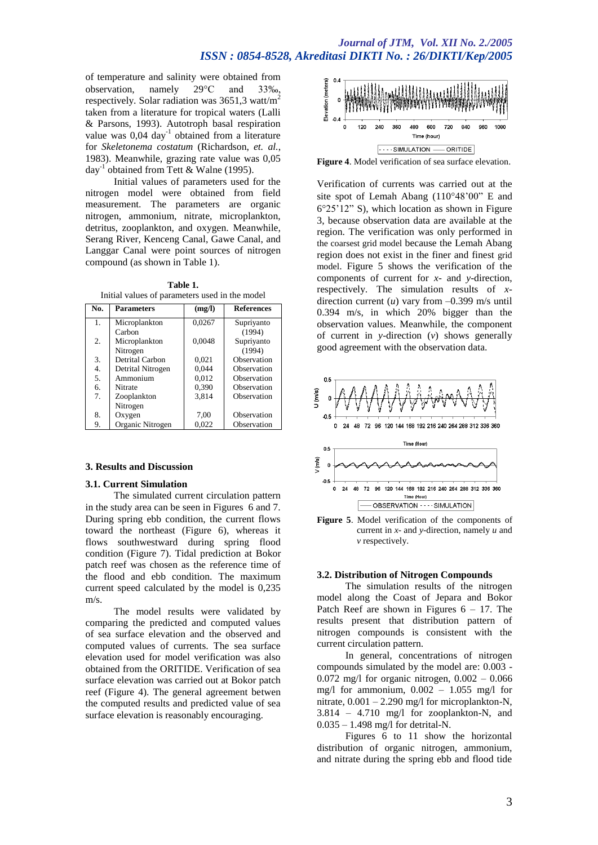# *Journal of JTM, Vol. XII No. 2./2005 ISSN : 0854-8528, Akreditasi DIKTI No. : 26/DIKTI/Kep/2005*

of temperature and salinity were obtained from<br>observation, namely  $29^{\circ}\text{C}$  and  $33\%$ . observation, namely 29C and 33‰, respectively. Solar radiation was 3651,3 watt/m<sup>2</sup> taken from a literature for tropical waters (Lalli & Parsons, 1993). Autotroph basal respiration value was  $0.04 \text{ day}^{-1}$  obtained from a literature for *Skeletonema costatum* (Richardson, *et. al.*, 1983). Meanwhile, grazing rate value was 0,05 day<sup>-1</sup> obtained from Tett & Walne (1995).

Initial values of parameters used for the nitrogen model were obtained from field measurement. The parameters are organic nitrogen, ammonium, nitrate, microplankton, detritus, zooplankton, and oxygen. Meanwhile, Serang River, Kenceng Canal, Gawe Canal, and Langgar Canal were point sources of nitrogen compound (as shown in Table 1).

**Table 1.** Initial values of parameters used in the model

| No. | <b>Parameters</b> | (mg/l) | <b>References</b> |
|-----|-------------------|--------|-------------------|
| 1.  | Microplankton     | 0,0267 | Supriyanto        |
|     | Carbon            |        | (1994)            |
| 2.  | Microplankton     | 0,0048 | Supriyanto        |
|     | Nitrogen          |        | (1994)            |
| 3.  | Detrital Carbon   | 0,021  | Observation       |
| 4.  | Detrital Nitrogen | 0,044  | Observation       |
| 5.  | Ammonium          | 0.012  | Observation       |
| 6.  | Nitrate           | 0,390  | Observation       |
| 7.  | Zooplankton       | 3,814  | Observation       |
|     | Nitrogen          |        |                   |
| 8.  | Oxygen            | 7,00   | Observation       |
| 9.  | Organic Nitrogen  | 0,022  | Observation       |

### **3. Results and Discussion**

#### **3.1. Current Simulation**

The simulated current circulation pattern in the study area can be seen in Figures 6 and 7. During spring ebb condition, the current flows toward the northeast (Figure 6), whereas it flows southwestward during spring flood condition (Figure 7). Tidal prediction at Bokor patch reef was chosen as the reference time of the flood and ebb condition. The maximum current speed calculated by the model is 0,235 m/s.

The model results were validated by comparing the predicted and computed values of sea surface elevation and the observed and computed values of currents. The sea surface elevation used for model verification was also obtained from the ORITIDE. Verification of sea surface elevation was carried out at Bokor patch reef (Figure 4). The general agreement betwen the computed results and predicted value of sea surface elevation is reasonably encouraging.



**Figure 4**. Model verification of sea surface elevation.

Verification of currents was carried out at the site spot of Lemah Abang  $(110^{\circ}48'00"$  E and 625'12" S), which location as shown in Figure 3, because observation data are available at the region. The verification was only performed in the coarsest grid model because the Lemah Abang region does not exist in the finer and finest grid model. Figure 5 shows the verification of the components of current for *x*- and *y*-direction, respectively. The simulation results of *x*direction current  $(u)$  vary from  $-0.399$  m/s until 0.394 m/s, in which 20% bigger than the observation values. Meanwhile, the component of current in *y*-direction (*v*) shows generally good agreement with the observation data.



**Figure 5**. Model verification of the components of current in *x-* and *y*-direction, namely *u* and *v* respectively.

#### **3.2. Distribution of Nitrogen Compounds**

The simulation results of the nitrogen model along the Coast of Jepara and Bokor Patch Reef are shown in Figures  $6 - 17$ . The results present that distribution pattern of nitrogen compounds is consistent with the current circulation pattern.

In general, concentrations of nitrogen compounds simulated by the model are: 0.003 - 0.072 mg/l for organic nitrogen,  $0.002 - 0.066$ mg/l for ammonium,  $0.002 - 1.055$  mg/l for nitrate,  $0.001 - 2.290$  mg/l for microplankton-N, 3.814 – 4.710 mg/l for zooplankton-N, and 0.035 – 1.498 mg/l for detrital-N.

Figures 6 to 11 show the horizontal distribution of organic nitrogen, ammonium, and nitrate during the spring ebb and flood tide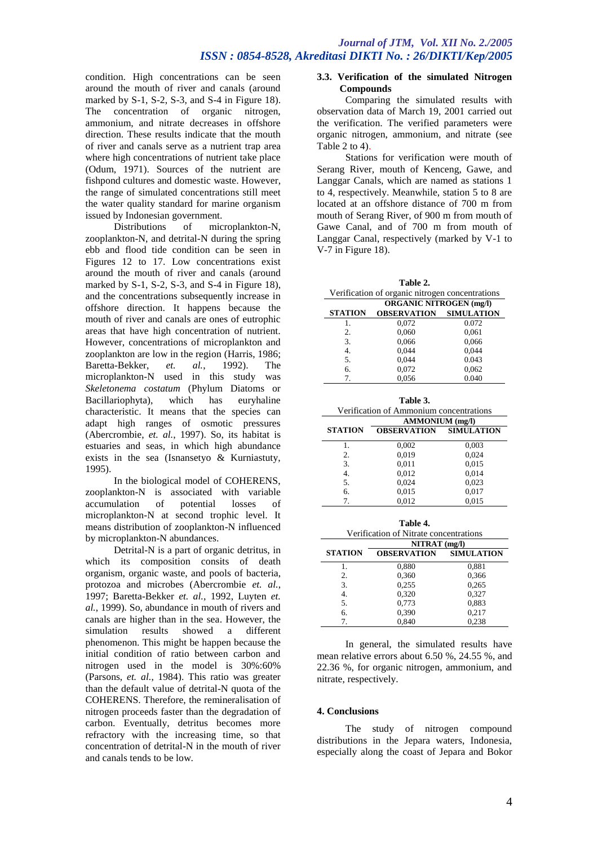condition. High concentrations can be seen around the mouth of river and canals (around marked by S-1, S-2, S-3, and S-4 in Figure 18). The concentration of organic nitrogen, ammonium, and nitrate decreases in offshore direction. These results indicate that the mouth of river and canals serve as a nutrient trap area where high concentrations of nutrient take place (Odum, 1971). Sources of the nutrient are fishpond cultures and domestic waste. However, the range of simulated concentrations still meet the water quality standard for marine organism issued by Indonesian government.<br>Distributions of mic

microplankton-N, zooplankton-N, and detrital-N during the spring ebb and flood tide condition can be seen in Figures 12 to 17. Low concentrations exist around the mouth of river and canals (around marked by S-1, S-2, S-3, and S-4 in Figure 18). and the concentrations subsequently increase in offshore direction. It happens because the mouth of river and canals are ones of eutrophic areas that have high concentration of nutrient. However, concentrations of microplankton and zooplankton are low in the region (Harris, 1986; Baretta-Bekker, *et. al.*, 1992). The microplankton-N used in this study was *Skeletonema costatum* (Phylum Diatoms or Bacillariophyta), which has euryhaline characteristic. It means that the species can adapt high ranges of osmotic pressures (Abercrombie, *et. al.*, 1997). So, its habitat is estuaries and seas, in which high abundance exists in the sea (Isnansetyo & Kurniastuty, 1995).

In the biological model of COHERENS, zooplankton-N is associated with variable accumulation of potential losses of microplankton-N at second trophic level. It means distribution of zooplankton-N influenced by microplankton-N abundances.

Detrital-N is a part of organic detritus, in which its composition consits of death organism, organic waste, and pools of bacteria, protozoa and microbes (Abercrombie *et. al.*, 1997; Baretta-Bekker *et. al.*, 1992, Luyten *et. al.*, 1999). So, abundance in mouth of rivers and canals are higher than in the sea. However, the simulation results showed a different phenomenon. This might be happen because the initial condition of ratio between carbon and nitrogen used in the model is 30%:60% (Parsons, *et. al.*, 1984). This ratio was greater than the default value of detrital-N quota of the COHERENS. Therefore, the remineralisation of nitrogen proceeds faster than the degradation of carbon. Eventually, detritus becomes more refractory with the increasing time, so that concentration of detrital-N in the mouth of river and canals tends to be low.

## **3.3. Verification of the simulated Nitrogen Compounds**

Comparing the simulated results with observation data of March 19, 2001 carried out the verification. The verified parameters were organic nitrogen, ammonium, and nitrate (see Table 2 to 4).

Stations for verification were mouth of Serang River, mouth of Kenceng, Gawe, and Langgar Canals, which are named as stations 1 to 4, respectively. Meanwhile, station 5 to 8 are located at an offshore distance of 700 m from mouth of Serang River, of 900 m from mouth of Gawe Canal, and of 700 m from mouth of Langgar Canal, respectively (marked by V-1 to V-7 in Figure 18).

| Table 2.                                        |                                         |                   |  |  |  |
|-------------------------------------------------|-----------------------------------------|-------------------|--|--|--|
| Verification of organic nitrogen concentrations |                                         |                   |  |  |  |
|                                                 | <b>ORGANIC NITROGEN</b> (mg/l)          |                   |  |  |  |
| <b>STATION</b>                                  | <b>OBSERVATION</b>                      | <b>SIMULATION</b> |  |  |  |
| 1.                                              | 0,072                                   | 0.072             |  |  |  |
| 2.                                              | 0,060                                   | 0,061             |  |  |  |
| 3.                                              | 0,066                                   | 0,066             |  |  |  |
| $\overline{4}$ .                                | 0,044                                   | 0,044             |  |  |  |
| 5.                                              | 0,044                                   | 0.043             |  |  |  |
| 6.                                              | 0,072                                   | 0,062             |  |  |  |
| 7.                                              | 0,056                                   | 0.040             |  |  |  |
|                                                 |                                         |                   |  |  |  |
| Table 3.                                        |                                         |                   |  |  |  |
|                                                 | Verification of Ammonium concentrations |                   |  |  |  |
|                                                 | <b>AMMONIUM</b> (mg/l)                  |                   |  |  |  |
| <b>STATION</b>                                  | <b>OBSERVATION</b>                      | <b>SIMULATION</b> |  |  |  |
| 1.                                              | 0,002                                   | 0,003             |  |  |  |
| 2.                                              | 0,019                                   | 0,024             |  |  |  |
| 3.                                              | 0,011                                   | 0,015             |  |  |  |
| $\overline{4}$ .                                | 0,012                                   | 0,014             |  |  |  |
| 5.                                              | 0,024                                   | 0,023             |  |  |  |
| 6.                                              | 0,015                                   | 0,017             |  |  |  |
| 7.                                              | 0,012                                   | 0,015             |  |  |  |
|                                                 |                                         |                   |  |  |  |
|                                                 | Table 4.                                |                   |  |  |  |
| Verification of Nitrate concentrations          |                                         |                   |  |  |  |
| NITRAT (mg/l)                                   |                                         |                   |  |  |  |
| <b>STATION</b>                                  | <b>OBSERVATION</b>                      | <b>SIMULATION</b> |  |  |  |
| 1.                                              | 0,880                                   | 0,881             |  |  |  |
| 2.                                              | 0,360                                   | 0,366             |  |  |  |
| 3.                                              | 0,255                                   | 0,265             |  |  |  |
| $\overline{4}$ .                                | 0,320                                   | 0,327             |  |  |  |
| 5.                                              | 0,773                                   | 0,883             |  |  |  |
| 6.                                              | 0,390                                   | 0,217             |  |  |  |
| 7.                                              | 0,840                                   | 0,238             |  |  |  |

In general, the simulated results have mean relative errors about 6.50 %, 24.55 %, and 22.36 %, for organic nitrogen, ammonium, and nitrate, respectively.

## **4. Conclusions**

The study of nitrogen compound distributions in the Jepara waters, Indonesia, especially along the coast of Jepara and Bokor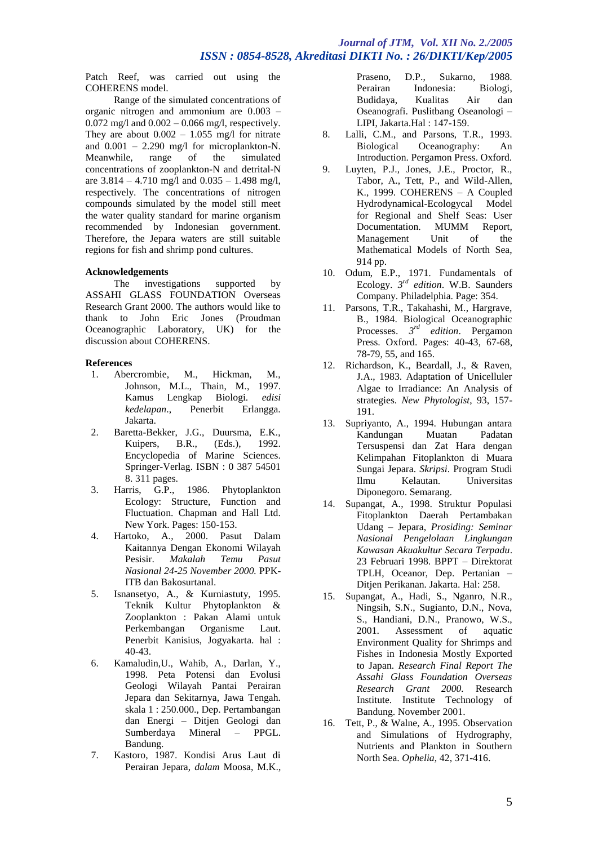# *Journal of JTM, Vol. XII No. 2./2005 ISSN : 0854-8528, Akreditasi DIKTI No. : 26/DIKTI/Kep/2005*

Patch Reef, was carried out using the COHERENS model.

Range of the simulated concentrations of organic nitrogen and ammonium are 0.003 – 0.072 mg/l and 0.002 – 0.066 mg/l, respectively. They are about  $0.002 - 1.055$  mg/l for nitrate and  $0.001 - 2.290$  mg/l for microplankton-N. Meanwhile, range of the simulated concentrations of zooplankton-N and detrital-N are  $3.814 - 4.710$  mg/l and  $0.035 - 1.498$  mg/l, respectively. The concentrations of nitrogen compounds simulated by the model still meet the water quality standard for marine organism recommended by Indonesian government. Therefore, the Jepara waters are still suitable regions for fish and shrimp pond cultures.

## **Acknowledgements**

The investigations supported by ASSAHI GLASS FOUNDATION Overseas Research Grant 2000. The authors would like to thank to John Eric Jones (Proudman Oceanographic Laboratory, UK) for the discussion about COHERENS.

### **References**

- 1. Abercrombie, M., Hickman, M., Johnson, M.L., Thain, M., 1997. Kamus Lengkap Biologi. *edisi kedelapan*., Penerbit Erlangga. Jakarta.
- 2. Baretta-Bekker, J.G., Duursma, E.K., Kuipers, B.R., (Eds.), 1992. Encyclopedia of Marine Sciences. Springer-Verlag. ISBN : 0 387 54501 8. 311 pages.
- 3. Harris, G.P., 1986. Phytoplankton Ecology: Structure, Function and Fluctuation. Chapman and Hall Ltd. New York. Pages: 150-153.
- 4. Hartoko, A., 2000. Pasut Dalam Kaitannya Dengan Ekonomi Wilayah Pesisir. *Makalah Temu Pasut Nasional 24-25 November 2000.* PPK-ITB dan Bakosurtanal.
- 5. Isnansetyo, A., & Kurniastuty, 1995. Teknik Kultur Phytoplankton & Zooplankton : Pakan Alami untuk Perkembangan Organisme Laut. Penerbit Kanisius, Jogyakarta. hal : 40-43.
- 6. Kamaludin,U., Wahib, A., Darlan, Y., 1998. Peta Potensi dan Evolusi Geologi Wilayah Pantai Perairan Jepara dan Sekitarnya, Jawa Tengah. skala 1 : 250.000., Dep. Pertambangan dan Energi – Ditjen Geologi dan Sumberdaya Mineral – PPGL. Bandung.
- 7. Kastoro, 1987. Kondisi Arus Laut di Perairan Jepara, *dalam* Moosa, M.K.,

Praseno, D.P., Sukarno, 1988. Perairan Indonesia: Biologi, Budidaya, Kualitas Air dan Oseanografi. Puslitbang Oseanologi – LIPI, Jakarta.Hal : 147-159.

- 8. Lalli, C.M., and Parsons, T.R., 1993. Biological Oceanography: An Introduction. Pergamon Press. Oxford.
- 9. Luyten, P.J., Jones, J.E., Proctor, R., Tabor, A., Tett, P., and Wild-Allen, K., 1999. COHERENS – A Coupled Hydrodynamical-Ecologycal Model for Regional and Shelf Seas: User Documentation. MUMM Report,<br>Management Unit of the Management Unit of the Mathematical Models of North Sea, 914 pp.
- 10. Odum, E.P., 1971. Fundamentals of Ecology. *3 rd edition*. W.B. Saunders Company. Philadelphia. Page: 354.
- 11. Parsons, T.R., Takahashi, M., Hargrave, B., 1984. Biological Oceanographic Processes. *3 rd edition*. Pergamon Press. Oxford. Pages: 40-43, 67-68, 78-79, 55, and 165.
- 12. Richardson, K., Beardall, J., & Raven, J.A., 1983. Adaptation of Unicelluler Algae to Irradiance: An Analysis of strategies. *New Phytologist*, 93, 157- 191.
- 13. Supriyanto, A., 1994. Hubungan antara Kandungan Tersuspensi dan Zat Hara dengan Kelimpahan Fitoplankton di Muara Sungai Jepara. *Skripsi*. Program Studi **Universitas** Diponegoro. Semarang.
- 14. Supangat, A., 1998. Struktur Populasi Fitoplankton Daerah Pertambakan Udang – Jepara, *Prosiding: Seminar Nasional Pengelolaan Lingkungan Kawasan Akuakultur Secara Terpadu*. 23 Februari 1998. BPPT – Direktorat TPLH, Oceanor, Dep. Pertanian – Ditjen Perikanan. Jakarta. Hal: 258.
- 15. Supangat, A., Hadi, S., Nganro, N.R., Ningsih, S.N., Sugianto, D.N., Nova, S., Handiani, D.N., Pranowo, W.S., 2001. Assessment of aquatic Environment Quality for Shrimps and Fishes in Indonesia Mostly Exported to Japan. *Research Final Report The Assahi Glass Foundation Overseas Research Grant 2000.* Research Institute. Institute Technology of Bandung. November 2001.
- 16. Tett, P., & Walne, A., 1995. Observation and Simulations of Hydrography, Nutrients and Plankton in Southern North Sea. *Ophelia*, 42, 371-416.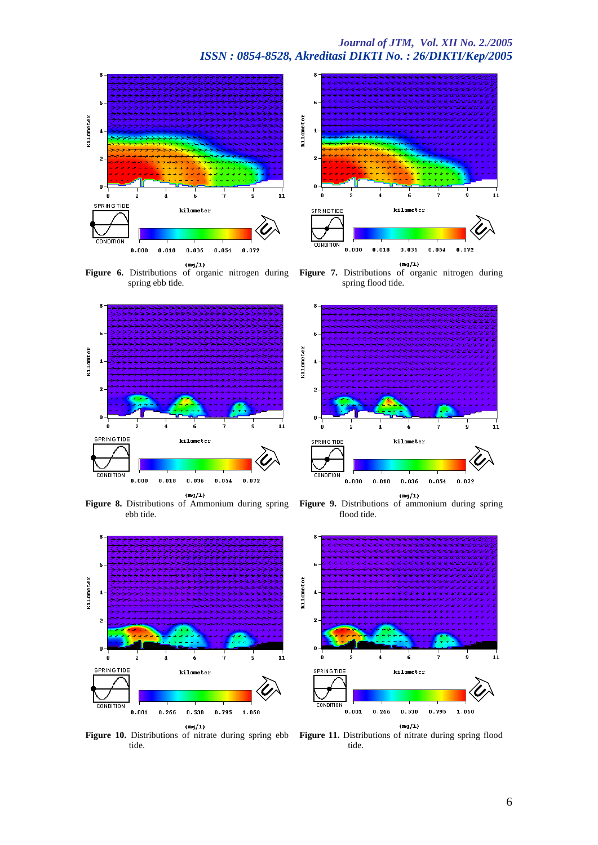



Figure 6. Distributions of organic nitrogen during spring ebb tide.



ebb tide.



6 kilometer 4  $\overline{2}$ o 11 kilometer **SPRING TIDE CONDITION**  $0.018$  $0.036$  $0.054$  $0.072$  $0.000$  $(\mathrm{mg}/\mathrm{1})$ 

**Figure 7.** Distributions of organic nitrogen during spring flood tide.



**Figure 8.** Distributions of Ammonium during spring **Figure 9.** Distributions of ammonium during spring flood tide.



**Figure 10.** Distributions of nitrate during spring ebb **Figure 11.** Distributions of nitrate during spring flood tide.

tide.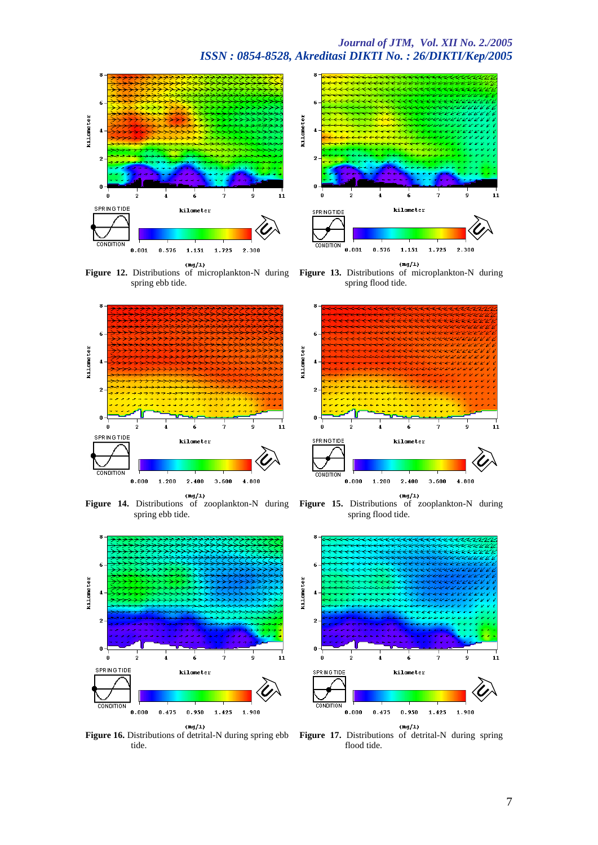



**Figure 12.** Distributions of microplankton-N during **Figure 13.** Distributions of microplankton-N during spring ebb tide.



**Figure 14.** Distributions of zooplankton-N during **Figure 15.** Distributions of zooplankton-N during spring ebb tide.



kilometer kilometer **SPRING TIDE**  $0.576$  $1.151$ 1.725 2.300  $0.001$  $(\mathrm{mg}/\mathrm{1})$ 

spring flood tide.



spring flood tide.



**Figure 16.** Distributions of detrital-N during spring ebb **Figure 17.** Distributions of detrital-N during spring tide.

flood tide.